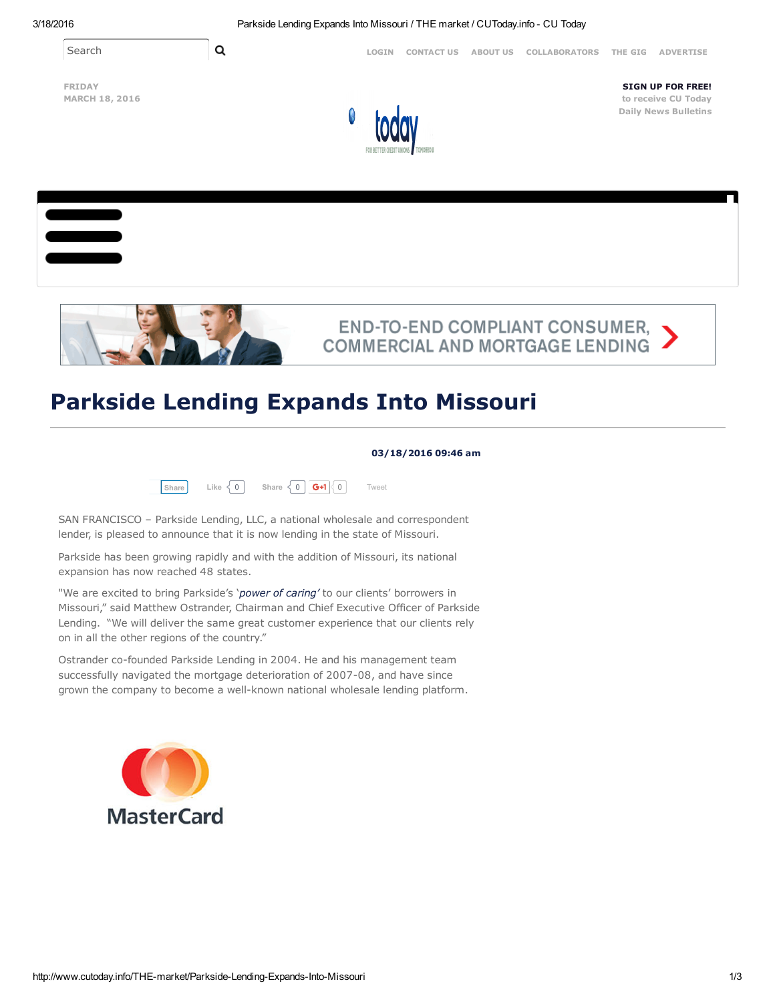Search **Q Q** [LOGIN](http://www.cutoday.info/site/user/login) [CONTACT](http://www.cutoday.info/site/Contact-Us) US [ABOUT](http://www.cutoday.info/site/About-Us) US COLLABORATORS THE [GIG](http://www.cutoday.info/site/THE-gig) [ADVERTISE](http://www.cutoday.info/site/Advertise)

FRIDAY MARCH 18, 2016



SIGN UP FOR FREE! to receive CU Today Daily News [Bulletins](http://www.cutoday.info/user/register)





## **END-TO-END COMPLIANT CONSUMER,<br>COMMERCIAL AND MORTGAGE LENDING**

## Parkside Lending Expands Into Missouri

## 03/18/2016 09:46 am



SAN FRANCISCO – Parkside Lending, LLC, a national wholesale and correspondent lender, is pleased to announce that it is now lending in the state of Missouri.

Parkside has been growing rapidly and with the addition of Missouri, its national expansion has now reached 48 states.

"We are excited to bring Parkside's '*power of caring'* to our clients' borrowers in Missouri," said Matthew Ostrander, Chairman and Chief Executive Officer of Parkside Lending. "We will deliver the same great customer experience that our clients rely on in all the other regions of the country."

Ostrander co-founded Parkside Lending in 2004. He and his management team successfully navigated the mortgage deterioration of 2007-08, and have since grown the company to become a well-known national wholesale lending platform.

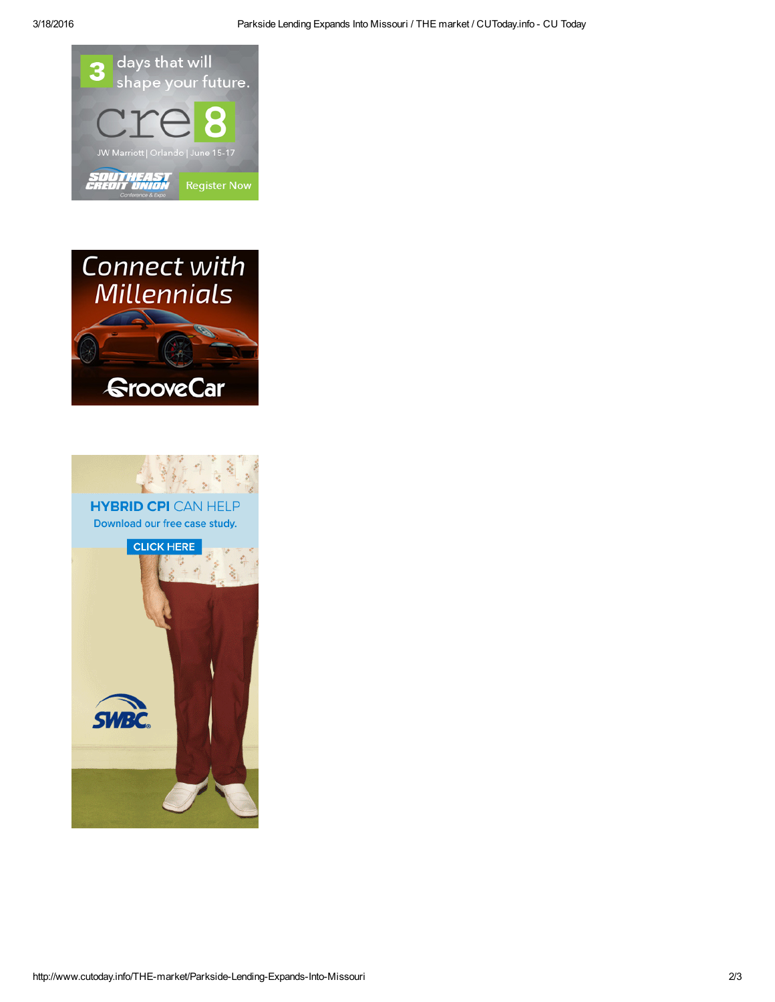





**HYBRID CPI CAN HELP** Download our free case study.